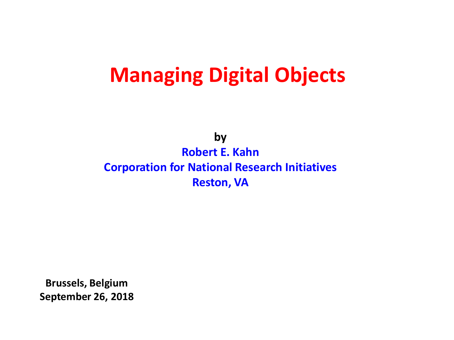### **Managing Digital Objects**

**by Robert E. Kahn Corporation for National Research Initiatives Reston, VA**

**Brussels, Belgium September 26, 2018**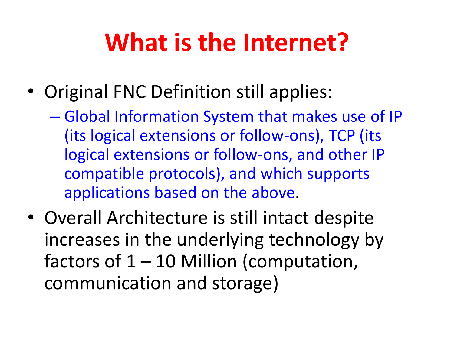# **What is the Internet?**

- Original FNC Definition still applies:
	- Global Information System that makes use of IP (its logical extensions or follow-ons), TCP (its logical extensions or follow-ons, and other IP compatible protocols), and which supports applications based on the above.
- Overall Architecture is still intact despite increases in the underlying technology by factors of  $1 - 10$  Million (computation, communication and storage)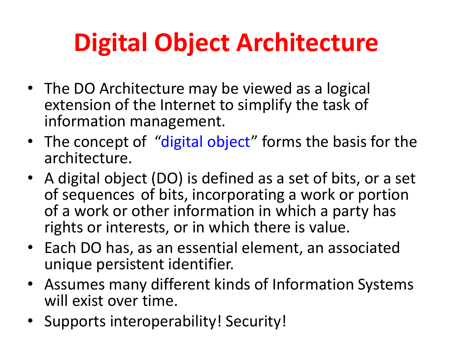# **Digital Object Architecture**

- The DO Architecture may be viewed as a logical extension of the Internet to simplify the task of information management.
- The concept of "digital object" forms the basis for the architecture.
- A digital object (DO) is defined as a set of bits, or a set of sequences of bits, incorporating a work or portion of a work or other information in which a party has rights or interests, or in which there is value.
- Each DO has, as an essential element, an associated unique persistent identifier.
- Assumes many different kinds of Information Systems will exist over time.
- Supports interoperability! Security!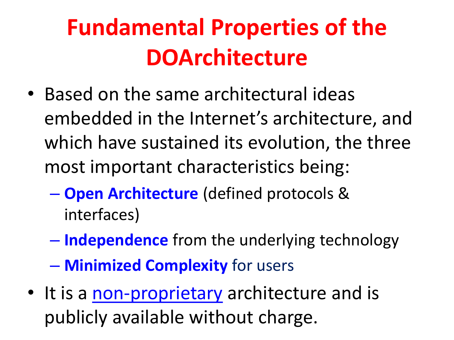# **Fundamental Properties of the DOArchitecture**

- Based on the same architectural ideas embedded in the Internet's architecture, and which have sustained its evolution, the three most important characteristics being:
	- **Open Architecture** (defined protocols & interfaces)
	- **Independence** from the underlying technology
	- **Minimized Complexity** for users
- It is a [non-proprietary](http://sandbox.dona.net/node/101) architecture and is publicly available without charge.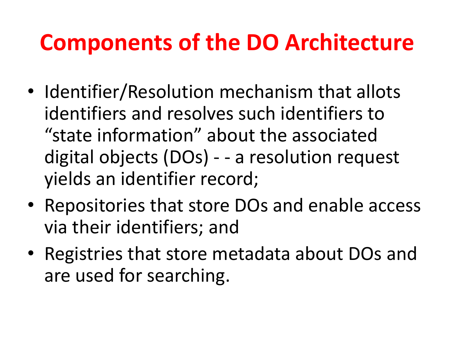## **Components of the DO Architecture**

- Identifier/Resolution mechanism that allots identifiers and resolves such identifiers to "state information" about the associated digital objects (DOs) - - a resolution request yields an identifier record;
- Repositories that store DOs and enable access via their identifiers; and
- Registries that store metadata about DOs and are used for searching.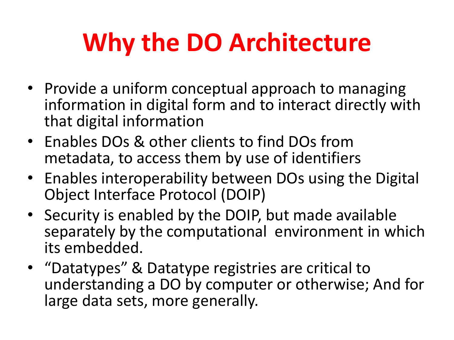# **Why the DO Architecture**

- Provide a uniform conceptual approach to managing information in digital form and to interact directly with that digital information
- Enables DOs & other clients to find DOs from metadata, to access them by use of identifiers
- Enables interoperability between DOs using the Digital Object Interface Protocol (DOIP)
- Security is enabled by the DOIP, but made available separately by the computational environment in which its embedded.
- "Datatypes" & Datatype registries are critical to understanding a DO by computer or otherwise; And for large data sets, more generally.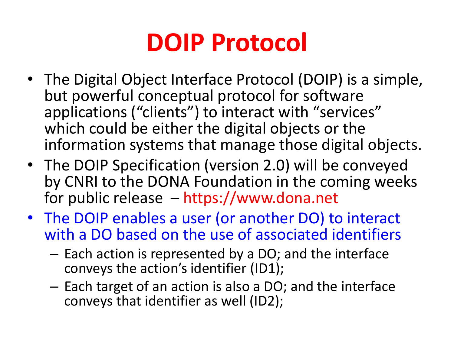# **DOIP Protocol**

- The Digital Object Interface Protocol (DOIP) is a simple, but powerful conceptual protocol for software applications ("clients") to interact with "services" which could be either the digital objects or the information systems that manage those digital objects.
- The DOIP Specification (version 2.0) will be conveyed by CNRI to the DONA Foundation in the coming weeks for public release – https://www.dona.net
- The DOIP enables a user (or another DO) to interact with a DO based on the use of associated identifiers
	- Each action is represented by a DO; and the interface conveys the action's identifier (ID1);
	- Each target of an action is also a DO; and the interface conveys that identifier as well (ID2);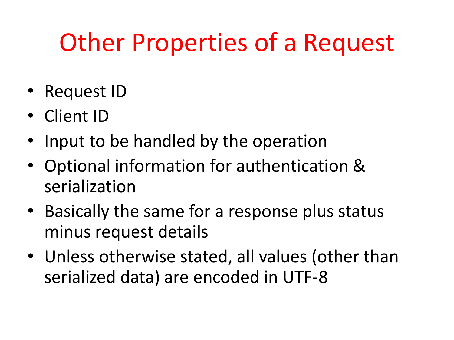# Other Properties of a Request

- Request ID
- Client ID
- Input to be handled by the operation
- Optional information for authentication & serialization
- Basically the same for a response plus status minus request details
- Unless otherwise stated, all values (other than serialized data) are encoded in UTF-8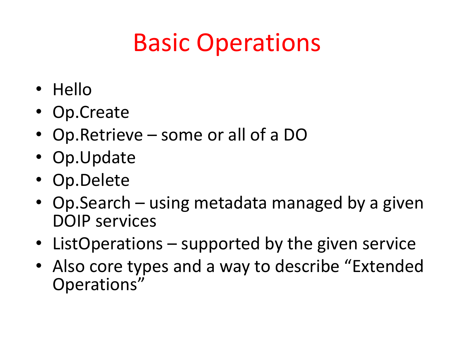# Basic Operations

- Hello
- Op.Create
- Op.Retrieve some or all of a DO
- Op.Update
- Op.Delete
- Op.Search using metadata managed by a given DOIP services
- ListOperations supported by the given service
- Also core types and a way to describe "Extended Operations"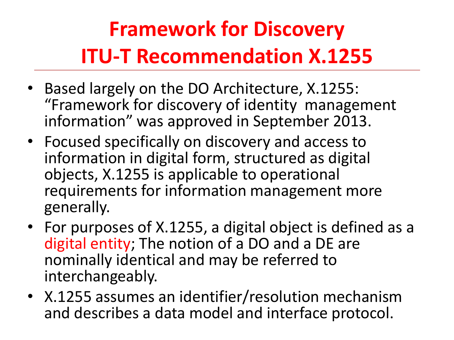## **Framework for Discovery ITU-T Recommendation X.1255**

- Based largely on the DO Architecture, X.1255: "Framework for discovery of identity management information" was approved in September 2013.
- Focused specifically on discovery and access to information in digital form, structured as digital objects, X.1255 is applicable to operational requirements for information management more generally.
- For purposes of X.1255, a digital object is defined as a digital entity; The notion of a DO and a DE are nominally identical and may be referred to interchangeably.
- X.1255 assumes an identifier/resolution mechanism and describes a data model and interface protocol.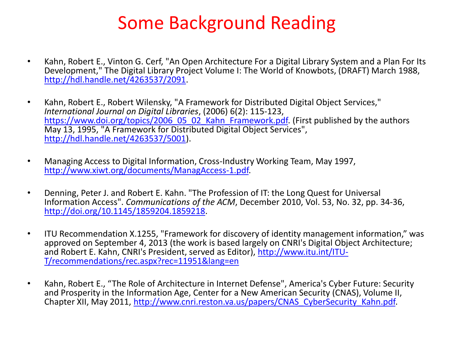#### Some Background Reading

- Kahn, Robert E., Vinton G. Cerf, "An Open Architecture For a Digital Library System and a Plan For Its Development," The Digital Library Project Volume I: The World of Knowbots, (DRAFT) March 1988, [http://hdl.handle.net/4263537/2091.](http://hdl.handle.net/4263537/2091)
- Kahn, Robert E., Robert Wilensky, "A Framework for Distributed Digital Object Services," *International Journal on Digital Libraries*, (2006) 6(2): 115-123, [https://www.doi.org/topics/2006\\_05\\_02\\_Kahn\\_Framework.pdf.](https://www.doi.org/topics/2006_05_02_Kahn_Framework.pdf) (First published by the authors May 13, 1995, "A Framework for Distributed Digital Object Services", [http://hdl.handle.net/4263537/5001\)](http://hdl.handle.net/4263537/5001).
- Managing Access to Digital Information, Cross-Industry Working Team, May 1997, <http://www.xiwt.org/documents/ManagAccess-1.pdf>.
- Denning, Peter J. and Robert E. Kahn. "The Profession of IT: the Long Quest for Universal Information Access". *Communications of the ACM*, December 2010, Vol. 53, No. 32, pp. 34-36, <http://doi.org/10.1145/1859204.1859218>.
- ITU Recommendation X.1255, "Framework for discovery of identity management information," was approved on September 4, 2013 (the work is based largely on CNRI's Digital Object Architecture; and Robert E. Kahn, CNRI's President, served as Editor), [http://www.itu.int/ITU-](http://www.itu.int/ITU-T/recommendations/rec.aspx?rec=11951&lang=en)[T/recommendations/rec.aspx?rec=11951&lang=en](http://www.itu.int/ITU-T/recommendations/rec.aspx?rec=11951&lang=en)
- Kahn, Robert E., "The Role of Architecture in Internet Defense", America's Cyber Future: Security and Prosperity in the Information Age, Center for a New American Security (CNAS), Volume II, Chapter XII, May 2011, [http://www.cnri.reston.va.us/papers/CNAS\\_CyberSecurity\\_Kahn.pdf](http://www.cnri.reston.va.us/papers/CNAS_CyberSecurity_Kahn.pdf).